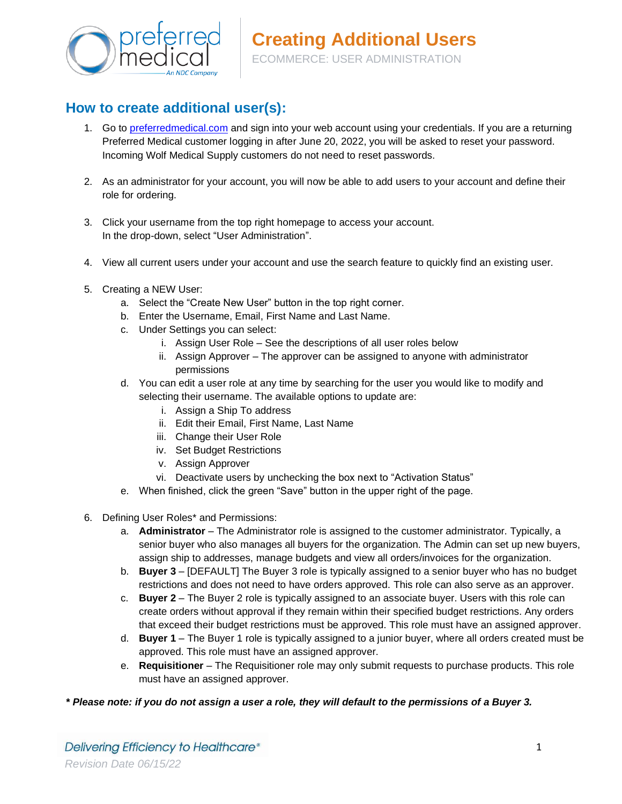

## **How to create additional user(s):**

- 1. Go to [preferredmedical.com](https://www.preferredmedical.com/) and sign into your web account using your credentials. If you are a returning Preferred Medical customer logging in after June 20, 2022, you will be asked to reset your password. Incoming Wolf Medical Supply customers do not need to reset passwords.
- 2. As an administrator for your account, you will now be able to add users to your account and define their role for ordering.
- 3. Click your username from the top right homepage to access your account. In the drop-down, select "User Administration".
- 4. View all current users under your account and use the search feature to quickly find an existing user.
- 5. Creating a NEW User:
	- a. Select the "Create New User" button in the top right corner.
	- b. Enter the Username, Email, First Name and Last Name.
	- c. Under Settings you can select:
		- i. Assign User Role See the descriptions of all user roles below
		- ii. Assign Approver The approver can be assigned to anyone with administrator permissions
	- d. You can edit a user role at any time by searching for the user you would like to modify and selecting their username. The available options to update are:
		- i. Assign a Ship To address
		- ii. Edit their Email, First Name, Last Name
		- iii. Change their User Role
		- iv. Set Budget Restrictions
		- v. Assign Approver
		- vi. Deactivate users by unchecking the box next to "Activation Status"
	- e. When finished, click the green "Save" button in the upper right of the page.
- 6. Defining User Roles\* and Permissions:
	- a. **Administrator** The Administrator role is assigned to the customer administrator. Typically, a senior buyer who also manages all buyers for the organization. The Admin can set up new buyers, assign ship to addresses, manage budgets and view all orders/invoices for the organization.
	- b. **Buyer 3** [DEFAULT] The Buyer 3 role is typically assigned to a senior buyer who has no budget restrictions and does not need to have orders approved. This role can also serve as an approver.
	- c. **Buyer 2** The Buyer 2 role is typically assigned to an associate buyer. Users with this role can create orders without approval if they remain within their specified budget restrictions. Any orders that exceed their budget restrictions must be approved. This role must have an assigned approver.
	- d. **Buyer 1** The Buyer 1 role is typically assigned to a junior buyer, where all orders created must be approved. This role must have an assigned approver.
	- e. **Requisitioner** The Requisitioner role may only submit requests to purchase products. This role must have an assigned approver.

*\* Please note: if you do not assign a user a role, they will default to the permissions of a Buyer 3.*